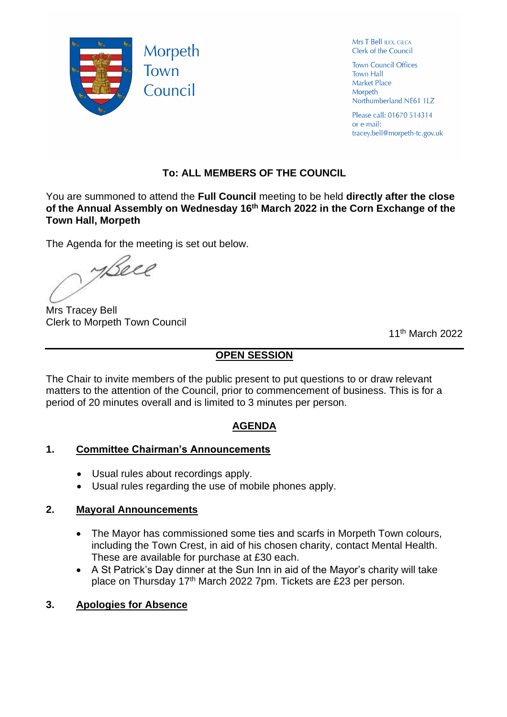

Mrs T Bell ILEX, CILCA Clerk of the Council

**Town Council Offices Town Hall** Market Place Morpeth Northumberland NE61 1LZ

Please call: 01670 514314 or e-mail: tracey.bell@morpeth-tc.gov.uk

# **To: ALL MEMBERS OF THE COUNCIL**

You are summoned to attend the **Full Council** meeting to be held **directly after the close of the Annual Assembly on Wednesday 16th March 2022 in the Corn Exchange of the Town Hall, Morpeth**

The Agenda for the meeting is set out below.

yBeel

Mrs Tracey Bell Clerk to Morpeth Town Council

11th March 2022

# **OPEN SESSION**

The Chair to invite members of the public present to put questions to or draw relevant matters to the attention of the Council, prior to commencement of business. This is for a period of 20 minutes overall and is limited to 3 minutes per person.

# **AGENDA**

# **1. Committee Chairman's Announcements**

- Usual rules about recordings apply.
- Usual rules regarding the use of mobile phones apply.

# **2. Mayoral Announcements**

- The Mayor has commissioned some ties and scarfs in Morpeth Town colours, including the Town Crest, in aid of his chosen charity, contact Mental Health. These are available for purchase at £30 each.
- A St Patrick's Day dinner at the Sun Inn in aid of the Mayor's charity will take place on Thursday 17<sup>th</sup> March 2022 7pm. Tickets are £23 per person.

# **3. Apologies for Absence**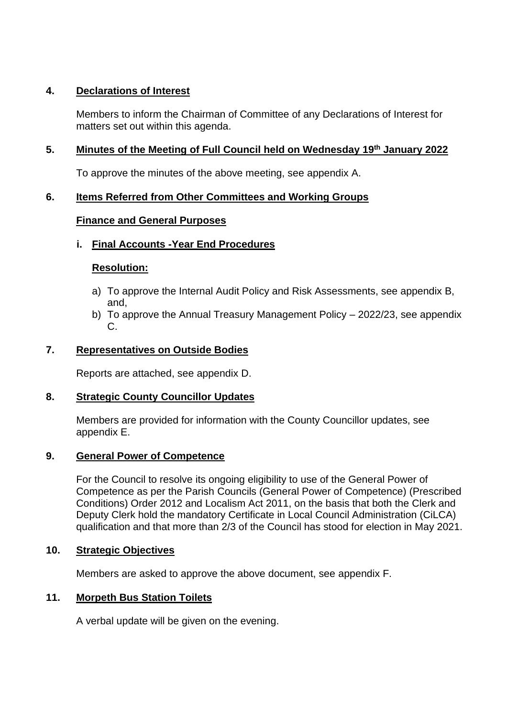### **4. Declarations of Interest**

Members to inform the Chairman of Committee of any Declarations of Interest for matters set out within this agenda.

### **5. Minutes of the Meeting of Full Council held on Wednesday 19th January 2022**

To approve the minutes of the above meeting, see appendix A.

### **6. Items Referred from Other Committees and Working Groups**

### **Finance and General Purposes**

### **i. Final Accounts -Year End Procedures**

### **Resolution:**

- a) To approve the Internal Audit Policy and Risk Assessments, see appendix B, and,
- b) To approve the Annual Treasury Management Policy 2022/23, see appendix C.

### **7. Representatives on Outside Bodies**

Reports are attached, see appendix D.

#### **8. Strategic County Councillor Updates**

Members are provided for information with the County Councillor updates, see appendix E.

#### **9. General Power of Competence**

For the Council to resolve its ongoing eligibility to use of the General Power of Competence as per the Parish Councils (General Power of Competence) (Prescribed Conditions) Order 2012 and Localism Act 2011, on the basis that both the Clerk and Deputy Clerk hold the mandatory Certificate in Local Council Administration (CiLCA) qualification and that more than 2/3 of the Council has stood for election in May 2021.

#### **10. Strategic Objectives**

Members are asked to approve the above document, see appendix F.

#### **11. Morpeth Bus Station Toilets**

A verbal update will be given on the evening.